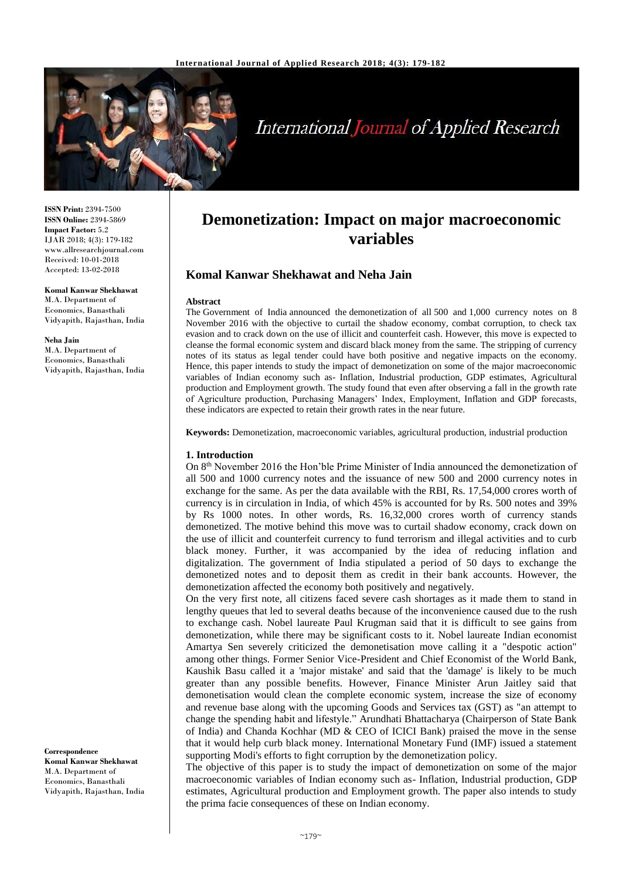

# **International Journal of Applied Research**

**ISSN Print:** 2394-7500 **ISSN Online:** 2394-5869 **Impact Factor:** 5.2 IJAR 2018; 4(3): 179-182 www.allresearchjournal.com Received: 10-01-2018 Accepted: 13-02-2018

**Komal Kanwar Shekhawat**  M.A. Department of Economics, Banasthali Vidyapith, Rajasthan, India

**Neha Jain** M.A. Department of Economics, Banasthali Vidyapith, Rajasthan, India

**Correspondence Komal Kanwar Shekhawat**  M.A. Department of Economics, Banasthali Vidyapith, Rajasthan, India

# **Demonetization: Impact on major macroeconomic variables**

# **Komal Kanwar Shekhawat and Neha Jain**

#### **Abstract**

The Government of India announced the demonetization of all 500 and 1,000 currency notes on 8 November 2016 with the objective to curtail the shadow economy, combat corruption, to check tax evasion and to crack down on the use of illicit and counterfeit cash. However, this move is expected to cleanse the formal economic system and discard black money from the same. The stripping of currency notes of its status as legal tender could have both positive and negative impacts on the economy. Hence, this paper intends to study the impact of demonetization on some of the major macroeconomic variables of Indian economy such as- Inflation, Industrial production, GDP estimates, Agricultural production and Employment growth. The study found that even after observing a fall in the growth rate of Agriculture production, Purchasing Managers' Index, Employment, Inflation and GDP forecasts, these indicators are expected to retain their growth rates in the near future.

**Keywords:** Demonetization, macroeconomic variables, agricultural production, industrial production

#### **1. Introduction**

On 8th November 2016 the Hon'ble Prime Minister of India announced the demonetization of all 500 and 1000 currency notes and the issuance of new 500 and 2000 currency notes in exchange for the same. As per the data available with the RBI, Rs. 17,54,000 crores worth of currency is in circulation in India, of which 45% is accounted for by Rs. 500 notes and 39% by Rs 1000 notes. In other words, Rs. 16,32,000 crores worth of currency stands demonetized. The motive behind this move was to curtail shadow economy, crack down on the use of illicit and counterfeit currency to fund terrorism and illegal activities and to curb black money. Further, it was accompanied by the idea of reducing inflation and digitalization. The government of India stipulated a period of 50 days to exchange the demonetized notes and to deposit them as credit in their bank accounts. However, the demonetization affected the economy both positively and negatively.

On the very first note, all citizens faced severe cash shortages as it made them to stand in lengthy queues that led to several deaths because of the inconvenience caused due to the rush to exchange cash. Nobel laureate Paul Krugman said that it is difficult to see gains from demonetization, while there may be significant costs to it. Nobel laureate Indian economist Amartya Sen severely criticized the demonetisation move calling it a "despotic action" among other things. Former Senior Vice-President and Chief Economist of the World Bank, Kaushik Basu called it a 'major mistake' and said that the 'damage' is likely to be much greater than any possible benefits. However, Finance Minister Arun Jaitley said that demonetisation would clean the complete economic system, increase the size of economy and revenue base along with the upcoming Goods and Services tax (GST) as "an attempt to change the spending habit and lifestyle." Arundhati Bhattacharya (Chairperson of State Bank of India) and Chanda Kochhar (MD & CEO of ICICI Bank) praised the move in the sense that it would help curb black money. International Monetary Fund (IMF) issued a statement supporting Modi's efforts to fight corruption by the demonetization policy.

The objective of this paper is to study the impact of demonetization on some of the major macroeconomic variables of Indian economy such as- Inflation, Industrial production, GDP estimates, Agricultural production and Employment growth. The paper also intends to study the prima facie consequences of these on Indian economy.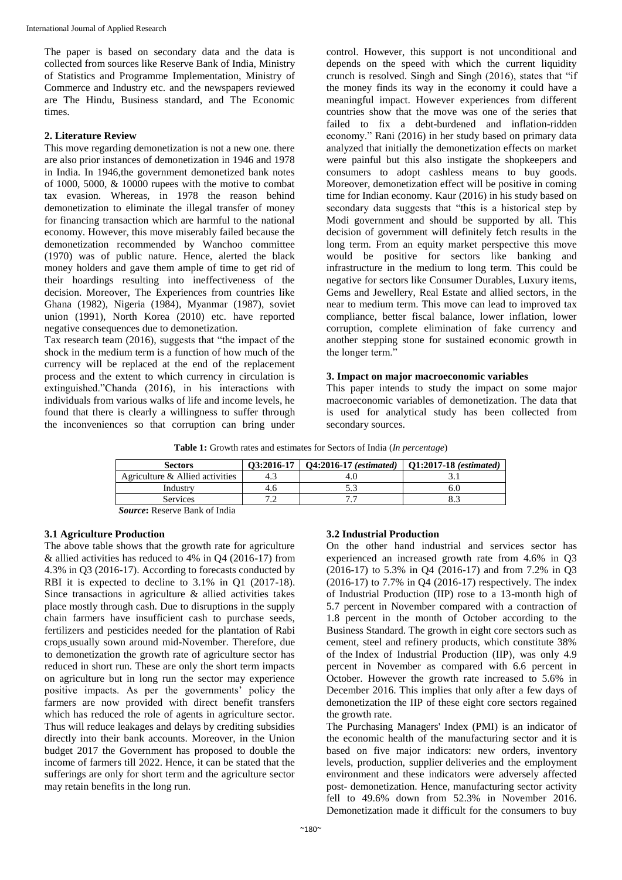The paper is based on secondary data and the data is collected from sources like Reserve Bank of India, Ministry of Statistics and Programme Implementation, Ministry of Commerce and Industry etc. and the newspapers reviewed are The Hindu, Business standard, and The Economic times.

#### **2. Literature Review**

This move regarding demonetization is not a new one. there are also prior instances of demonetization in 1946 and 1978 in India. In 1946,the government demonetized bank notes of 1000, 5000, & 10000 rupees with the motive to combat tax evasion. Whereas, in 1978 the reason behind demonetization to eliminate the illegal transfer of money for financing transaction which are harmful to the national economy. However, this move miserably failed because the demonetization recommended by Wanchoo committee (1970) was of public nature. Hence, alerted the black money holders and gave them ample of time to get rid of their hoardings resulting into ineffectiveness of the decision. Moreover, The Experiences from countries like Ghana (1982), Nigeria (1984), Myanmar (1987), soviet union (1991), North Korea (2010) etc. have reported negative consequences due to demonetization.

Tax research team (2016), suggests that "the impact of the shock in the medium term is a function of how much of the currency will be replaced at the end of the replacement process and the extent to which currency in circulation is extinguished."Chanda (2016), in his interactions with individuals from various walks of life and income levels, he found that there is clearly a willingness to suffer through the inconveniences so that corruption can bring under control. However, this support is not unconditional and depends on the speed with which the current liquidity crunch is resolved. Singh and Singh (2016), states that "if the money finds its way in the economy it could have a meaningful impact. However experiences from different countries show that the move was one of the series that failed to fix a debt-burdened and inflation-ridden economy." Rani (2016) in her study based on primary data analyzed that initially the demonetization effects on market were painful but this also instigate the shopkeepers and consumers to adopt cashless means to buy goods. Moreover, demonetization effect will be positive in coming time for Indian economy. Kaur (2016) in his study based on secondary data suggests that "this is a historical step by Modi government and should be supported by all. This decision of government will definitely fetch results in the long term. From an equity market perspective this move would be positive for sectors like banking and infrastructure in the medium to long term. This could be negative for sectors like Consumer Durables, Luxury items, Gems and Jewellery, Real Estate and allied sectors, in the near to medium term. This move can lead to improved tax compliance, better fiscal balance, lower inflation, lower corruption, complete elimination of fake currency and another stepping stone for sustained economic growth in the longer term.'

#### **3. Impact on major macroeconomic variables**

This paper intends to study the impact on some major macroeconomic variables of demonetization. The data that is used for analytical study has been collected from secondary sources.

**Table 1:** Growth rates and estimates for Sectors of India (*In percentage*)

| <b>Sectors</b>                  | 03:2016-17 | <b>O4:2016-17</b> (estimated) | $\mid$ O1:2017-18 (estimated) |
|---------------------------------|------------|-------------------------------|-------------------------------|
| Agriculture & Allied activities |            |                               |                               |
| Industry                        | 4.0        |                               |                               |
| <b>Services</b>                 |            |                               |                               |
| Course Deserve Don't of India   |            |                               |                               |

*Source***:** Reserve Bank of India

## **3.1 Agriculture Production**

The above table shows that the growth rate for agriculture & allied activities has reduced to 4% in Q4 (2016-17) from 4.3% in Q3 (2016-17). According to forecasts conducted by RBI it is expected to decline to 3.1% in Q1 (2017-18). Since transactions in agriculture & allied activities takes place mostly through cash. Due to disruptions in the supply chain farmers have insufficient cash to purchase seeds, fertilizers and pesticides needed for the plantation of Rabi crops usually sown around mid-November. Therefore, due to demonetization the growth rate of agriculture sector has reduced in short run. These are only the short term impacts on agriculture but in long run the sector may experience positive impacts. As per the governments' policy the farmers are now provided with direct benefit transfers which has reduced the role of agents in agriculture sector. Thus will reduce leakages and delays by crediting subsidies directly into their bank accounts. Moreover, in the Union budget 2017 the Government has proposed to double the income of farmers till 2022. Hence, it can be stated that the sufferings are only for short term and the agriculture sector may retain benefits in the long run.

## **3.2 Industrial Production**

On the other hand industrial and services sector has experienced an increased growth rate from 4.6% in Q3 (2016-17) to 5.3% in Q4 (2016-17) and from 7.2% in Q3 (2016-17) to 7.7% in Q4 (2016-17) respectively. The index of Industrial Production (IIP) rose to a 13-month high of 5.7 percent in November compared with a contraction of 1.8 percent in the month of October according to the Business Standard. The growth in eight core sectors such as cement, steel and refinery products, which constitute 38% of the Index of Industrial Production (IIP), was only 4.9 percent in November as compared with 6.6 percent in October. However the growth rate increased to 5.6% in December 2016. This implies that only after a few days of demonetization the IIP of these eight core sectors regained the growth rate.

The Purchasing Managers' Index (PMI) is an indicator of the economic health of the manufacturing sector and it is based on five major indicators: new orders, inventory levels, production, supplier deliveries and the employment environment and these indicators were adversely affected post- demonetization. Hence, manufacturing sector activity fell to 49.6% down from 52.3% in November 2016. Demonetization made it difficult for the consumers to buy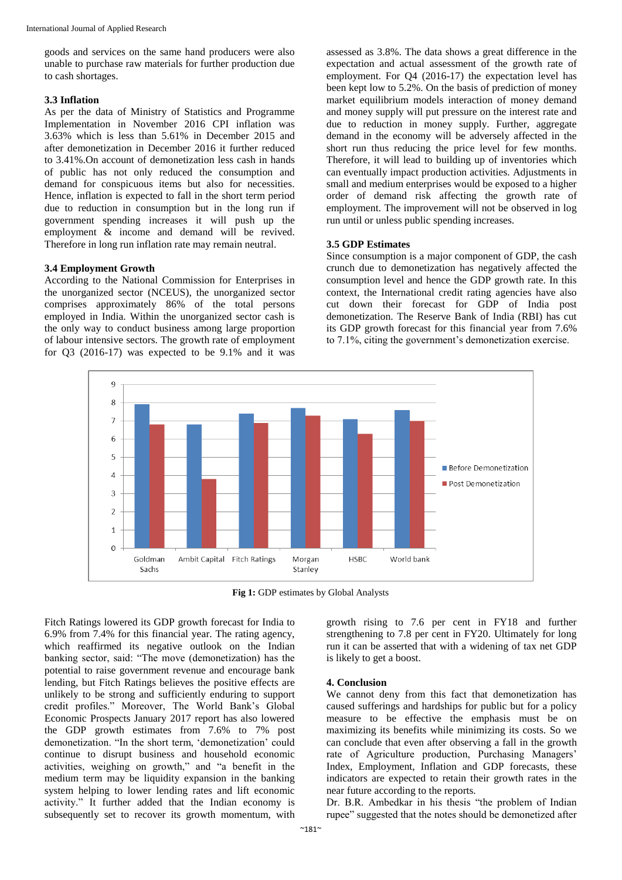goods and services on the same hand producers were also unable to purchase raw materials for further production due to cash shortages.

#### **3.3 Inflation**

As per the data of Ministry of Statistics and Programme Implementation in November 2016 CPI inflation was 3.63% which is less than 5.61% in December 2015 and after demonetization in December 2016 it further reduced to 3.41%.On account of demonetization less cash in hands of public has not only reduced the consumption and demand for conspicuous items but also for necessities. Hence, inflation is expected to fall in the short term period due to reduction in consumption but in the long run if government spending increases it will push up the employment & income and demand will be revived. Therefore in long run inflation rate may remain neutral.

#### **3.4 Employment Growth**

According to the National Commission for Enterprises in the unorganized sector (NCEUS), the unorganized sector comprises approximately 86% of the total persons employed in India. Within the unorganized sector cash is the only way to conduct business among large proportion of labour intensive sectors. The growth rate of employment for Q3 (2016-17) was expected to be 9.1% and it was

assessed as 3.8%. The data shows a great difference in the expectation and actual assessment of the growth rate of employment. For Q4 (2016-17) the expectation level has been kept low to 5.2%. On the basis of prediction of money market equilibrium models interaction of money demand and money supply will put pressure on the interest rate and due to reduction in money supply. Further, aggregate demand in the economy will be adversely affected in the short run thus reducing the price level for few months. Therefore, it will lead to building up of inventories which can eventually impact production activities. Adjustments in small and medium enterprises would be exposed to a higher order of demand risk affecting the growth rate of employment. The improvement will not be observed in log run until or unless public spending increases.

#### **3.5 GDP Estimates**

Since consumption is a major component of GDP, the cash crunch due to demonetization has negatively affected the consumption level and hence the GDP growth rate. In this context, the International credit rating agencies have also cut down their forecast for GDP of India post demonetization. The Reserve Bank of India (RBI) has cut its GDP growth forecast for this financial year from 7.6% to 7.1%, citing the government's demonetization exercise.



**Fig 1:** GDP estimates by Global Analysts

Fitch Ratings lowered its GDP growth forecast for India to 6.9% from 7.4% for this financial year. The rating agency, which reaffirmed its negative outlook on the Indian banking sector, said: "The move (demonetization) has the potential to raise government revenue and encourage bank lending, but Fitch Ratings believes the positive effects are unlikely to be strong and sufficiently enduring to support credit profiles." Moreover, The World Bank's Global Economic Prospects January 2017 report has also lowered the GDP growth estimates from 7.6% to 7% post demonetization. "In the short term, 'demonetization' could continue to disrupt business and household economic activities, weighing on growth," and "a benefit in the medium term may be liquidity expansion in the banking system helping to lower lending rates and lift economic activity." It further added that the Indian economy is subsequently set to recover its growth momentum, with

growth rising to 7.6 per cent in FY18 and further strengthening to 7.8 per cent in FY20. Ultimately for long run it can be asserted that with a widening of tax net GDP is likely to get a boost.

#### **4. Conclusion**

We cannot deny from this fact that demonetization has caused sufferings and hardships for public but for a policy measure to be effective the emphasis must be on maximizing its benefits while minimizing its costs. So we can conclude that even after observing a fall in the growth rate of Agriculture production, Purchasing Managers' Index, Employment, Inflation and GDP forecasts, these indicators are expected to retain their growth rates in the near future according to the reports.

Dr. B.R. Ambedkar in his thesis "the problem of Indian rupee" suggested that the notes should be demonetized after